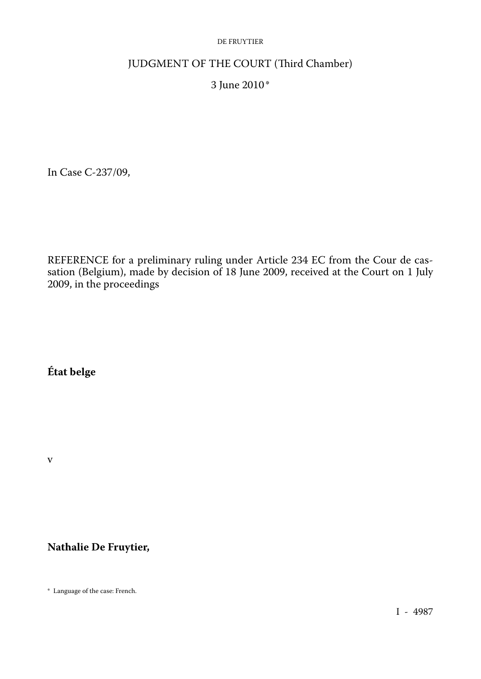#### DE FRUYTIER

# JUDGMENT OF THE COURT (Third Chamber)

# 3 June 2010\*

In Case C-237/09,

REFERENCE for a preliminary ruling under Article 234 EC from the Cour de cas sation (Belgium), made by decision of 18 June 2009, received at the Court on 1 July 2009, in the proceedings

# **État belge**

v

# **Nathalie De Fruytier,**

\* Language of the case: French.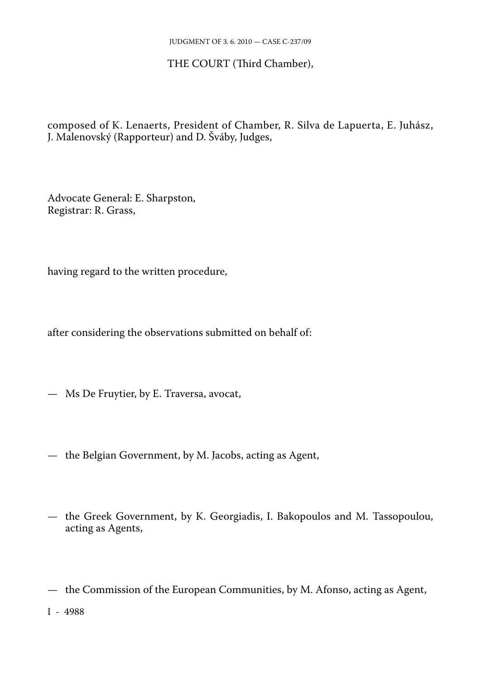### THE COURT (Third Chamber),

composed of K. Lenaerts, President of Chamber, R. Silva de Lapuerta, E. Juhász, J. Malenovský (Rapporteur) and D. Šváby, Judges,

Advocate General: E. Sharpston, Registrar: R. Grass,

having regard to the written procedure,

after considering the observations submitted on behalf of:

— Ms De Fruytier, by E. Traversa, avocat,

- the Belgian Government, by M. Jacobs, acting as Agent,
- the Greek Government, by K. Georgiadis, I. Bakopoulos and M. Tassopoulou, acting as Agents,
- the Commission of the European Communities, by M. Afonso, acting as Agent,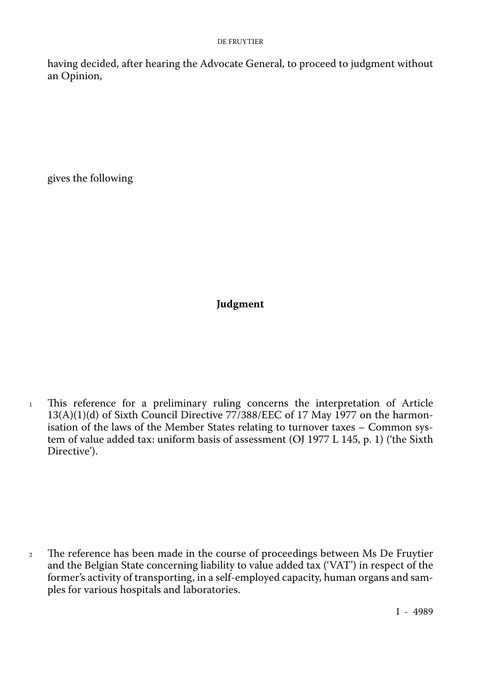having decided, after hearing the Advocate General, to proceed to judgment without an Opinion,

gives the following

# **Judgment**

<sup>1</sup> This reference for a preliminary ruling concerns the interpretation of Article 13(A)(1)(d) of Sixth Council Directive 77/388/EEC of 17 May 1977 on the harmonisation of the laws of the Member States relating to turnover taxes – Common sys tem of value added tax: uniform basis of assessment (OJ 1977 L 145, p. 1) ('the Sixth Directive').

<sup>2</sup> The reference has been made in the course of proceedings between Ms De Fruytier and the Belgian State concerning liability to value added tax ('VAT') in respect of the former's activity of transporting, in a self-employed capacity, human organs and sam ples for various hospitals and laboratories.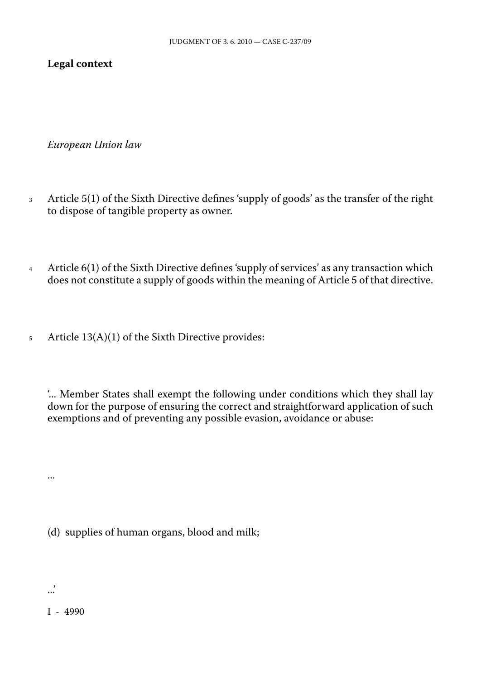### **Legal context**

*European Union law*

- <sup>3</sup> Article 5(1) of the Sixth Directive defines 'supply of goods' as the transfer of the right to dispose of tangible property as owner.
- <sup>4</sup> Article 6(1) of the Sixth Directive defines 'supply of services' as any transaction which does not constitute a supply of goods within the meaning of Article 5 of that directive.
- <sup>5</sup> Article 13(A)(1) of the Sixth Directive provides:

'... Member States shall exempt the following under conditions which they shall lay down for the purpose of ensuring the correct and straightforward application of such exemptions and of preventing any possible evasion, avoidance or abuse:

(d) supplies of human organs, blood and milk;

...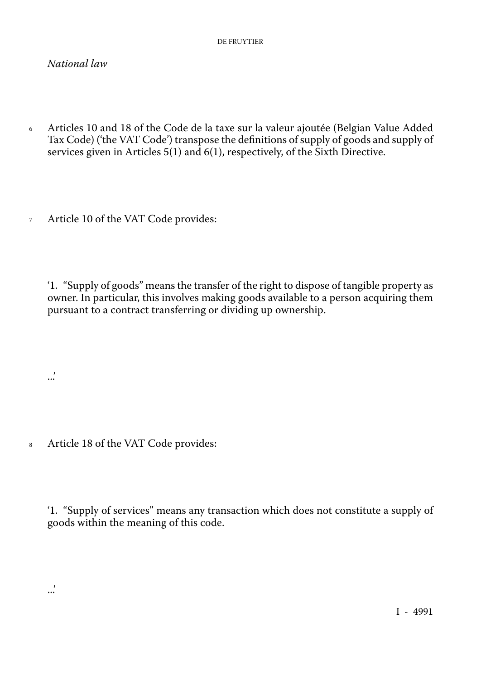#### *National law*

- <sup>6</sup> Articles 10 and 18 of the Code de la taxe sur la valeur ajoutée (Belgian Value Added Tax Code) ('the VAT Code') transpose the definitions of supply of goods and supply of services given in Articles 5(1) and 6(1), respectively, of the Sixth Directive.
- <sup>7</sup> Article 10 of the VAT Code provides:

'1. "Supply of goods" means the transfer of the right to dispose of tangible property as owner. In particular, this involves making goods available to a person acquiring them pursuant to a contract transferring or dividing up ownership.

<sup>8</sup> Article 18 of the VAT Code provides:

...'

...'

'1. "Supply of services" means any transaction which does not constitute a supply of goods within the meaning of this code.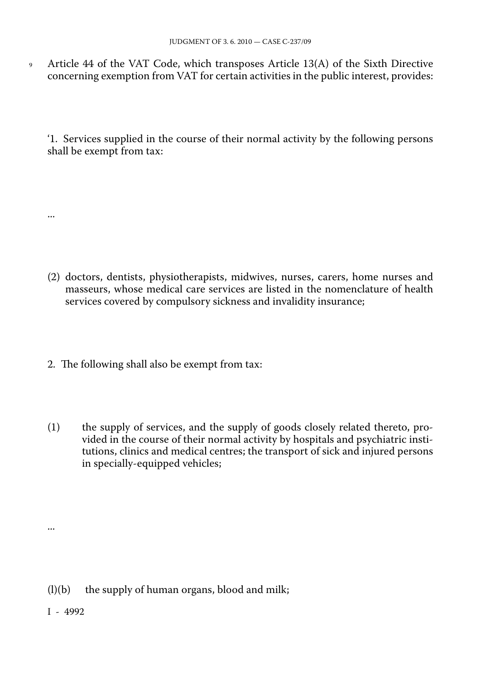<sup>9</sup> Article 44 of the VAT Code, which transposes Article 13(A) of the Sixth Directive concerning exemption from VAT for certain activities in the public interest, provides:

'1. Services supplied in the course of their normal activity by the following persons shall be exempt from tax:

- (2) doctors, dentists, physiotherapists, midwives, nurses, carers, home nurses and masseurs, whose medical care services are listed in the nomenclature of health services covered by compulsory sickness and invalidity insurance;
- 2. The following shall also be exempt from tax:
- (1) the supply of services, and the supply of goods closely related thereto, pro vided in the course of their normal activity by hospitals and psychiatric insti tutions, clinics and medical centres; the transport of sick and injured persons in specially-equipped vehicles;

(l)(b) the supply of human organs, blood and milk;

I - 4992

...

...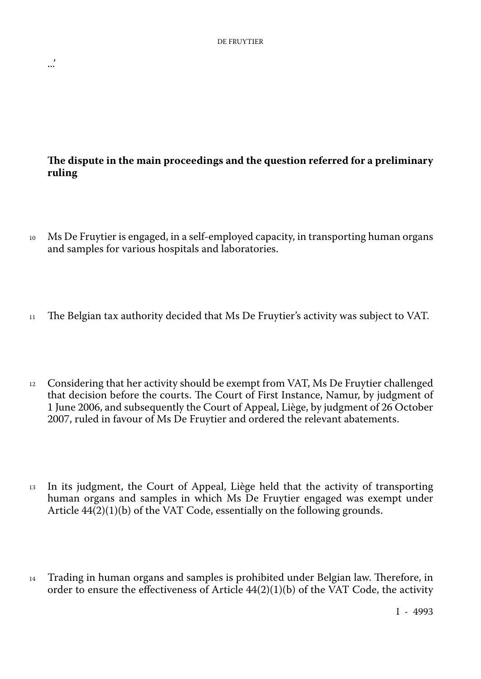...'

# **The dispute in the main proceedings and the question referred for a preliminary ruling**

- <sup>10</sup> Ms De Fruytier is engaged, in a self-employed capacity, in transporting human organs and samples for various hospitals and laboratories.
- <sup>11</sup> The Belgian tax authority decided that Ms De Fruytier's activity was subject to VAT.
- <sup>12</sup> Considering that her activity should be exempt from VAT, Ms De Fruytier challenged that decision before the courts. The Court of First Instance, Namur, by judgment of 1 June 2006, and subsequently the Court of Appeal, Liège, by judgment of 26 October 2007, ruled in favour of Ms De Fruytier and ordered the relevant abatements.
- <sup>13</sup> In its judgment, the Court of Appeal, Liège held that the activity of transporting human organs and samples in which Ms De Fruytier engaged was exempt under Article 44(2)(1)(b) of the VAT Code, essentially on the following grounds.
- <sup>14</sup> Trading in human organs and samples is prohibited under Belgian law. Therefore, in order to ensure the effectiveness of Article  $44(2)(1)(b)$  of the VAT Code, the activity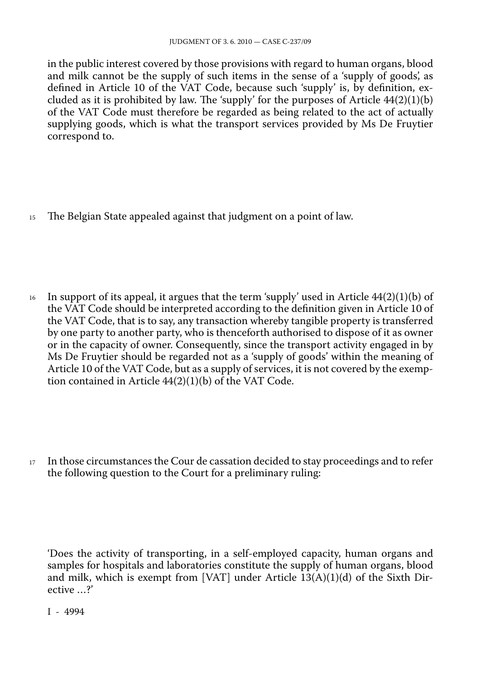in the public interest covered by those provisions with regard to human organs, blood and milk cannot be the supply of such items in the sense of a 'supply of goods', as defined in Article 10 of the VAT Code, because such 'supply' is, by definition, ex cluded as it is prohibited by law. The 'supply' for the purposes of Article  $44(2)(1)(b)$ of the VAT Code must therefore be regarded as being related to the act of actually supplying goods, which is what the transport services provided by Ms De Fruytier correspond to.

<sup>15</sup> The Belgian State appealed against that judgment on a point of law.

<sup>16</sup> In support of its appeal, it argues that the term 'supply' used in Article  $44(2)(1)(b)$  of the VAT Code should be interpreted according to the definition given in Article 10 of the VAT Code, that is to say, any transaction whereby tangible property is transferred by one party to another party, who is thenceforth authorised to dispose of it as owner or in the capacity of owner. Consequently, since the transport activity engaged in by Ms De Fruytier should be regarded not as a 'supply of goods' within the meaning of Article 10 of the VAT Code, but as a supply of services, it is not covered by the exemp tion contained in Article 44(2)(1)(b) of the VAT Code.

<sup>17</sup> In those circumstances the Cour de cassation decided to stay proceedings and to refer the following question to the Court for a preliminary ruling:

'Does the activity of transporting, in a self-employed capacity, human organs and samples for hospitals and laboratories constitute the supply of human organs, blood and milk, which is exempt from [VAT] under Article 13(A)(1)(d) of the Sixth Directive …?'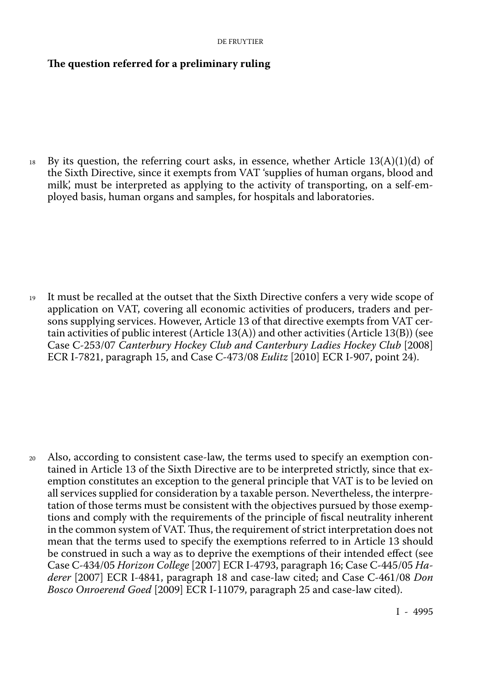### **The question referred for a preliminary ruling**

 $18$  By its question, the referring court asks, in essence, whether Article 13(A)(1)(d) of the Sixth Directive, since it exempts from VAT 'supplies of human organs, blood and milk', must be interpreted as applying to the activity of transporting, on a self-em ployed basis, human organs and samples, for hospitals and laboratories.

<sup>19</sup> It must be recalled at the outset that the Sixth Directive confers a very wide scope of application on VAT, covering all economic activities of producers, traders and per sons supplying services. However, Article 13 of that directive exempts from VAT cer tain activities of public interest (Article  $13(A)$ ) and other activities (Article  $13(B)$ ) (see Case C-253/07 *Canterbury Hockey Club and Canterbury Ladies Hockey Club* [2008] ECR I-7821, paragraph 15, and Case C-473/08 *Eulitz* [2010] ECR I-907, point 24).

<sup>20</sup> Also, according to consistent case-law, the terms used to specify an exemption con tained in Article 13 of the Sixth Directive are to be interpreted strictly, since that ex emption constitutes an exception to the general principle that VAT is to be levied on all services supplied for consideration by a taxable person. Nevertheless, the interpre tation of those terms must be consistent with the objectives pursued by those exemp tions and comply with the requirements of the principle of fiscal neutrality inherent in the common system of VAT. Thus, the requirement of strict interpretation does not mean that the terms used to specify the exemptions referred to in Article 13 should be construed in such a way as to deprive the exemptions of their intended effect (see Case C-434/05 *Horizon College* [2007] ECR I-4793, paragraph 16; Case C-445/05 *Ha derer* [2007] ECR I-4841, paragraph 18 and case-law cited; and Case C-461/08 *Don Bosco Onroerend Goed* [2009] ECR I-11079, paragraph 25 and case-law cited).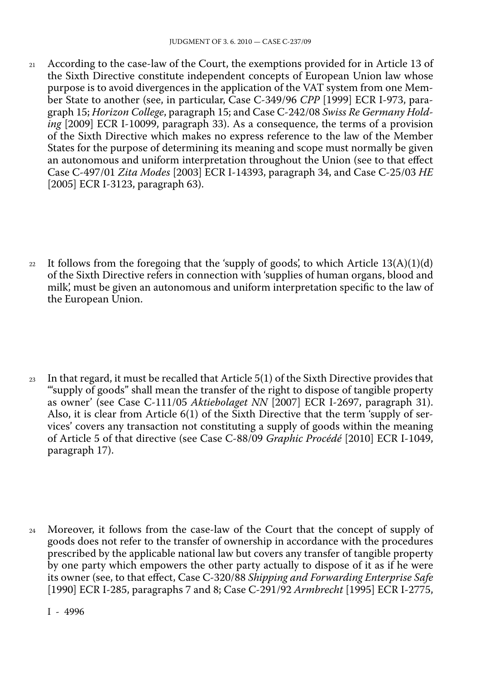- <sup>21</sup> According to the case-law of the Court, the exemptions provided for in Article 13 of the Sixth Directive constitute independent concepts of European Union law whose purpose is to avoid divergences in the application of the VAT system from one Mem ber State to another (see, in particular, Case C-349/96 *CPP* [1999] ECR I-973, para graph 15; *Horizon College*, paragraph 15; and Case C-242/08 *Swiss Re Germany Hold ing* [2009] ECR I-10099, paragraph 33). As a consequence, the terms of a provision of the Sixth Directive which makes no express reference to the law of the Member States for the purpose of determining its meaning and scope must normally be given an autonomous and uniform interpretation throughout the Union (see to that effect Case C-497/01 *Zita Modes* [2003] ECR I-14393, paragraph 34, and Case C-25/03 *HE* [2005] ECR I-3123, paragraph 63).
- 22 It follows from the foregoing that the 'supply of goods', to which Article  $13(A)(1)(d)$ of the Sixth Directive refers in connection with 'supplies of human organs, blood and milk', must be given an autonomous and uniform interpretation specific to the law of the European Union.
- <sup>23</sup> In that regard, it must be recalled that Article 5(1) of the Sixth Directive provides that '"supply of goods" shall mean the transfer of the right to dispose of tangible property as owner' (see Case C-111/05 *Aktiebolaget NN* [2007] ECR I-2697, paragraph 31). Also, it is clear from Article 6(1) of the Sixth Directive that the term 'supply of ser vices' covers any transaction not constituting a supply of goods within the meaning of Article 5 of that directive (see Case C-88/09 *Graphic Procédé* [2010] ECR I-1049, paragraph 17).
- <sup>24</sup> Moreover, it follows from the case-law of the Court that the concept of supply of goods does not refer to the transfer of ownership in accordance with the procedures prescribed by the applicable national law but covers any transfer of tangible property by one party which empowers the other party actually to dispose of it as if he were its owner (see, to that effect, Case C-320/88 *Shipping and Forwarding Enterprise Safe* [1990] ECR I-285, paragraphs 7 and 8; Case C-291/92 *Armbrecht* [1995] ECR I-2775,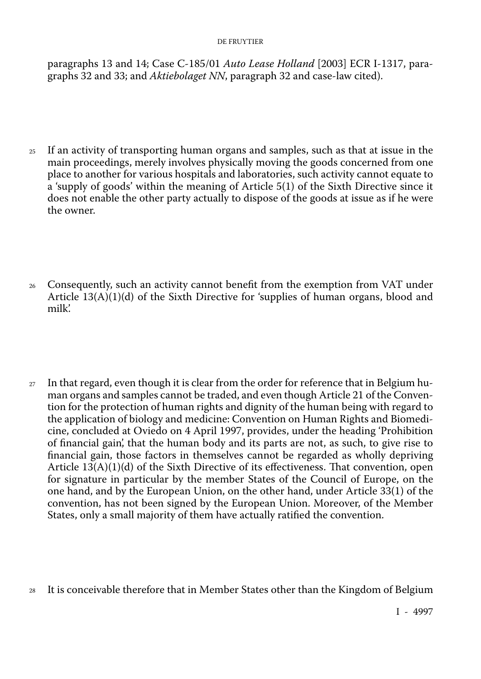#### DE FRUYTIER

paragraphs 13 and 14; Case C-185/01 *Auto Lease Holland* [2003] ECR I-1317, para graphs 32 and 33; and *Aktiebolaget NN*, paragraph 32 and case-law cited).

- <sup>25</sup> If an activity of transporting human organs and samples, such as that at issue in the main proceedings, merely involves physically moving the goods concerned from one place to another for various hospitals and laboratories, such activity cannot equate to a 'supply of goods' within the meaning of Article 5(1) of the Sixth Directive since it does not enable the other party actually to dispose of the goods at issue as if he were the owner.
- <sup>26</sup> Consequently, such an activity cannot benefit from the exemption from VAT under Article  $13(A)(1)(d)$  of the Sixth Directive for 'supplies of human organs, blood and milk'.
- $27$  In that regard, even though it is clear from the order for reference that in Belgium human organs and samples cannot be traded, and even though Article 21 of the Conven tion for the protection of human rights and dignity of the human being with regard to the application of biology and medicine: Convention on Human Rights and Biomedi cine, concluded at Oviedo on 4 April 1997, provides, under the heading 'Prohibition of financial gain', that the human body and its parts are not, as such, to give rise to financial gain, those factors in themselves cannot be regarded as wholly depriving Article  $13(A)(1)(d)$  of the Sixth Directive of its effectiveness. That convention, open for signature in particular by the member States of the Council of Europe, on the one hand, and by the European Union, on the other hand, under Article 33(1) of the convention, has not been signed by the European Union. Moreover, of the Member States, only a small majority of them have actually ratified the convention.
- <sup>28</sup> It is conceivable therefore that in Member States other than the Kingdom of Belgium